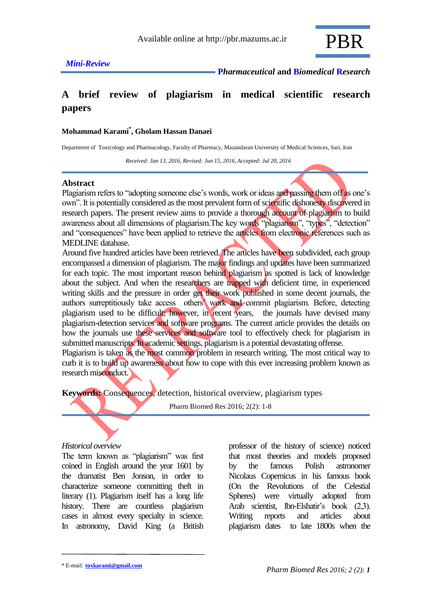

 **<sup>P</sup>***harmaceutical* **and B***iomedical* **<sup>R</sup>***esearch*

# **A brief review of plagiarism in medical scientific research papers**

#### **Mohammad Karami\* , Gholam Hassan Danaei**

Department of Toxicology and Pharmacology, Faculty of Pharmacy, Mazandaran University of Medical Sciences, Sari, Iran

 *Received: Jan 13, 2016, Revised: Jun 15, 2016, Accepted: Jul 20, 2016*

#### **Abstract**

Plagiarism refers to "adopting someone else's words, work or ideas and passing them off as one's own". It is potentially considered as the most prevalent form of scientific dishonesty discovered in research papers. The present review aims to provide a thorough account of plagiarism to build awareness about all dimensions of plagiarism.The key words "plagiarism", "types", "detection" and "consequences" have been applied to retrieve the articles from electronic references such as MEDLINE database.

Around five hundred articles have been retrieved. The articles have been subdivided, each group encompassed a dimension of plagiarism. The major findings and updates have been summarized for each topic. The most important reason behind plagiarism as spotted is lack of knowledge about the subject. And when the researchers are trapped with deficient time, in experienced writing skills and the pressure in order get their work published in some decent journals, the authors surreptitiously take access others' work and commit plagiarism. Before, detecting plagiarism used to be difficult; however, in recent years, the journals have devised many plagiarism-detection services and software programs. The current article provides the details on how the journals use these services and software tool to effectively check for plagiarism in submitted manuscripts. In academic settings, plagiarism is a potential devastating offense. Plagiarism is taken as the most common problem in research writing. The most critical way to

curb it is to build up awareness about how to cope with this ever increasing problem known as research misconduct.

**Keywords:** Consequences, detection, historical overview, plagiarism types

Pharm Biomed Res 2016; 2(2): 1-8

#### *Historical overview*

The term known as "plagiarism" was first coined in English around the year 1601 by the dramatist Ben Jonson, in order to characterize someone committing theft in literary (1). Plagiarism itself has a long life history. There are countless plagiarism cases in almost every specialty in science. In astronomy, David King (a British

professor of the history of science) noticed that most theories and models proposed by the famous Polish astronomer Nicolaus Copernicus in his famous book (On the Revolutions of the Celestial Spheres) were virtually adopted from Arab scientist, Ibn-Elshatir's book (2,3). Writing reports and articles about plagiarism dates to late 1800s when the

<sup>\*</sup> E-mail: **toxkarami@gmail.com**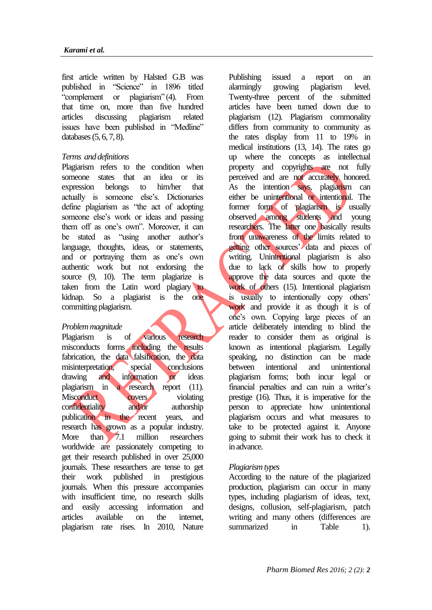first article written by Halsted G.B was published in "Science" in 1896 titled "complement or plagiarism" (4). From that time on, more than five hundred articles discussing plagiarism related issues have been published in "Medline" databases (5, 6, 7, 8).

#### *Terms and definitions*

Plagiarism refers to the condition when someone states that an idea or its expression belongs to him/her that actually is someone else's. Dictionaries define plagiarism as "the act of adopting someone else's work or ideas and passing them off as one's own". Moreover, it can be stated as "using another author's language, thoughts, ideas, or statements, and or portraying them as one's own authentic work but not endorsing the source  $(9, 10)$ . The term plagiarize is taken from the Latin word plagiary to kidnap. So a plagiarist is the one committing plagiarism.

#### *Problem magnitude*

Plagiarism is of various research misconducts forms including the results fabrication, the data falsification, the data misinterpretation, special conclusions drawing and information or ideas plagiarism in a research report  $(11)$ . Misconduct covers violating confidentiality and/or authorship publication in the recent years, and research has grown as a popular industry. More than 7.1 million researchers worldwide are passionately competing to get their research published in over 25,000 journals. These researchers are tense to get their work published in prestigious journals. When this pressure accompanies with insufficient time, no research skills and easily accessing information and articles available on the internet, plagiarism rate rises. In 2010, Nature

Publishing issued a report on an alarmingly growing plagiarism level. Twenty-three percent of the submitted articles have been turned down due to plagiarism (12). Plagiarism commonality differs from community to community as the rates display from 11 to 19% in medical institutions (13, 14). The rates go up where the concepts as intellectual property and copyrights are not fully perceived and are not accurately honored. As the intention says, plagiarism can either be unintentional or intentional. The former form of plagiarism is usually observed among students and young researchers. The latter one basically results from unawareness of the limits related to getting other sources' data and pieces of writing. Unintentional plagiarism is also due to lack of skills how to properly approve the data sources and quote the work of others (15). Intentional plagiarism is usually to intentionally copy others' work and provide it as though it is of one's own. Copying large pieces of an article deliberately intending to blind the reader to consider them as original is known as intentional plagiarism. Legally speaking, no distinction can be made between intentional and unintentional plagiarism forms; both incur legal or financial penalties and can ruin a writer's prestige (16). Thus, it is imperative for the person to appreciate how unintentional plagiarism occurs and what measures to take to be protected against it. Anyone going to submit their work has to check it in advance.

#### *Plagiarism types*

According to the nature of the plagiarized production, plagiarism can occur in many types, including plagiarism of ideas, text, designs, collusion, self-plagiarism, patch writing and many others (differences are summarized in Table 1).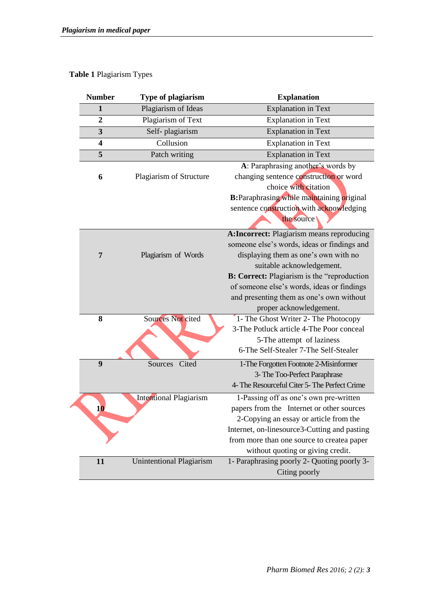# **Table 1** Plagiarism Types

| <b>Number</b>           | Type of plagiarism              | <b>Explanation</b>                                  |
|-------------------------|---------------------------------|-----------------------------------------------------|
| $\mathbf{1}$            | Plagiarism of Ideas             | <b>Explanation</b> in Text                          |
| $\overline{2}$          | Plagiarism of Text              | <b>Explanation</b> in Text                          |
| 3                       | Self-plagiarism                 | <b>Explanation</b> in Text                          |
| $\overline{\mathbf{4}}$ | Collusion                       | <b>Explanation</b> in Text                          |
| 5                       | Patch writing                   | <b>Explanation</b> in Text                          |
|                         |                                 | A: Paraphrasing another's words by                  |
| 6                       | Plagiarism of Structure         | changing sentence construction or word              |
|                         |                                 | choice with citation                                |
|                         |                                 | <b>B:</b> Paraphrasing while maintaining original   |
|                         |                                 | sentence construction with acknowledging            |
|                         |                                 | the source                                          |
|                         |                                 | <b>A:Incorrect:</b> Plagiarism means reproducing    |
|                         |                                 | someone else's words, ideas or findings and         |
| 7                       | Plagiarism of Words             | displaying them as one's own with no                |
|                         |                                 | suitable acknowledgement.                           |
|                         |                                 | <b>B: Correct:</b> Plagiarism is the "reproduction" |
|                         |                                 | of someone else's words, ideas or findings          |
|                         |                                 | and presenting them as one's own without            |
|                         |                                 | proper acknowledgement.                             |
| 8                       | <b>Sources Not cited</b>        | 1- The Ghost Writer 2- The Photocopy                |
|                         |                                 | 3-The Potluck article 4-The Poor conceal            |
|                         |                                 | 5-The attempt of laziness                           |
|                         |                                 | 6-The Self-Stealer 7-The Self-Stealer               |
| $\boldsymbol{9}$        | Cited<br>Sources                | 1-The Forgotten Footnote 2-Misinformer              |
|                         |                                 | 3- The Too-Perfect Paraphrase                       |
|                         |                                 | 4- The Resourceful Citer 5- The Perfect Crime       |
|                         | <b>Intentional Plagiarism</b>   | 1-Passing off as one's own pre-written              |
| 10                      |                                 | papers from the Internet or other sources           |
|                         |                                 | 2-Copying an essay or article from the              |
|                         |                                 | Internet, on-linesource3-Cutting and pasting        |
|                         |                                 | from more than one source to createa paper          |
|                         |                                 | without quoting or giving credit.                   |
| 11                      | <b>Unintentional Plagiarism</b> | 1- Paraphrasing poorly 2- Quoting poorly 3-         |
|                         |                                 | Citing poorly                                       |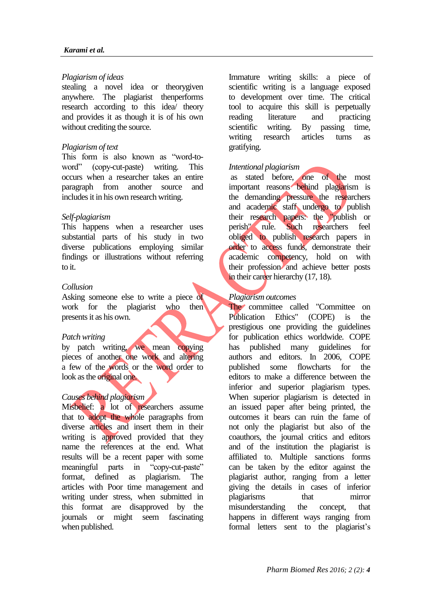#### *Karami et al.*

#### *Plagiarism of ideas*

stealing a novel idea or theorygiven anywhere. The plagiarist thenperforms research according to this idea/ theory and provides it as though it is of his own without crediting the source.

#### *Plagiarism of text*

This form is also known as "word-toword" (copy-cut-paste) writing. This occurs when a researcher takes an entire paragraph from another source and includes it in his own research writing.

## *Self-plagiarism*

This happens when a researcher uses substantial parts of his study in two diverse publications employing similar findings or illustrations without referring to it.

## *Collusion*

Asking someone else to write a piece of work for the plagiarist who then presents it as his own.

#### *Patch writing*

by patch writing, we mean copying pieces of another one work and altering a few of the words or the word order to look as the original one.

#### *Causes behind plagiarism*

Misbelief: a lot of researchers assume that to adopt the whole paragraphs from diverse articles and insert them in their writing is approved provided that they name the references at the end. What results will be a recent paper with some meaningful parts in "copy-cut-paste" format, defined as plagiarism. The articles with Poor time management and writing under stress, when submitted in this format are disapproved by the journals or might seem fascinating when published.

Immature writing skills: a piece of scientific writing is a language exposed to development over time. The critical tool to acquire this skill is perpetually reading literature and practicing scientific writing. By passing time, writing research articles turns as gratifying.

## *Intentional plagiarism*

as stated before, one of the most important reasons behind plagiarism is the demanding pressure the researchers and academic staff undergo to publish their research papers: the "publish or perish" rule. Such researchers feel obliged to publish research papers in order to access funds, demonstrate their academic competency, hold on with their profession and achieve better posts in their career hierarchy (17, 18).

## *Plagiarism outcomes*

The committee called "Committee on Publication Ethics" (COPE) is the prestigious one providing the guidelines for publication ethics worldwide. COPE has published many guidelines for authors and editors. In 2006, COPE published some flowcharts for the editors to make a difference between the inferior and superior plagiarism types. When superior plagiarism is detected in an issued paper after being printed, the outcomes it bears can ruin the fame of not only the plagiarist but also of the coauthors, the journal critics and editors and of the institution the plagiarist is affiliated to. Multiple sanctions forms can be taken by the editor against the plagiarist author, ranging from a letter giving the details in cases of inferior plagiarisms that mirror misunderstanding the concept, that happens in different ways ranging from formal letters sent to the plagiarist's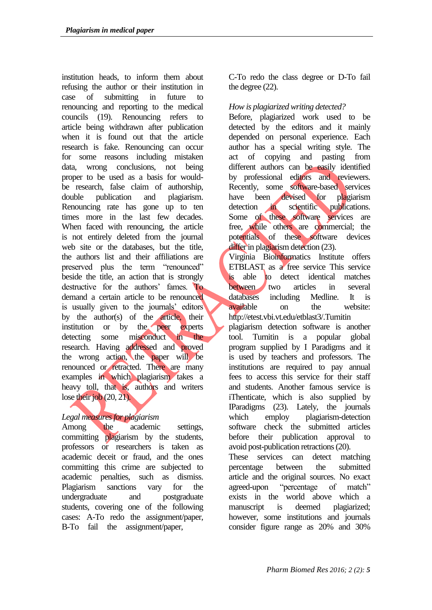institution heads, to inform them about refusing the author or their institution in case of submitting in future to renouncing and reporting to the medical councils (19). Renouncing refers to article being withdrawn after publication when it is found out that the article research is fake. Renouncing can occur for some reasons including mistaken data, wrong conclusions, not being proper to be used as a basis for wouldbe research, false claim of authorship, double publication and plagiarism. Renouncing rate has gone up to ten times more in the last few decades. When faced with renouncing, the article is not entirely deleted from the journal web site or the databases, but the title, the authors list and their affiliations are preserved plus the term "renounced" beside the title, an action that is strongly destructive for the authors' fames. To demand a certain article to be renounced is usually given to the journals' editors by the author(s) of the article, their institution or by the peer experts detecting some misconduct in the research. Having addressed and proved the wrong action, the paper will be renounced or retracted. There are many examples in which plagiarism takes a heavy toll, that is, authors and writers lose their job  $(20, 21)$ .

# *Legal measures for plagiarism*

Among the academic settings, committing plagiarism by the students, professors or researchers is taken as academic deceit or fraud, and the ones committing this crime are subjected to academic penalties, such as dismiss. Plagiarism sanctions vary for the undergraduate and postgraduate students, covering one of the following cases: A-To redo the assignment/paper, B-To fail the assignment/paper,

C-To redo the class degree or D-To fail the degree (22).

# *How is plagiarized writing detected?*

Before, plagiarized work used to be detected by the editors and it mainly depended on personal experience. Each author has a special writing style. The act of copying and pasting from different authors can be easily identified by professional editors and reviewers. Recently, some software-based services have been devised for plagiarism detection in scientific publications. Some of these software services are free, while others are commercial; the potentials of these software devices differ in plagiarism detection (23).

Virginia Bioinformatics Institute offers ETBLAST as a free service This service is able to detect identical matches between two articles in several databases including Medline. It is available on the website: <http://etest.vbi.vt.edu/etblast3/.Turnitin>

plagiarism detection software is another tool. Turnitin is a popular global program supplied by I Paradigms and it is used by teachers and professors. The institutions are required to pay annual fees to access this service for their staff and students. Another famous service is iThenticate, which is also supplied by IParadigms (23). Lately, the journals which employ plagiarism-detection software check the submitted articles before their publication approval to avoid post-publication retractions (20).

These services can detect matching percentage between the submitted article and the original sources. No exact agreed-upon "percentage of match" exists in the world above which a manuscript is deemed plagiarized; however, some institutions and journals consider figure range as 20% and 30%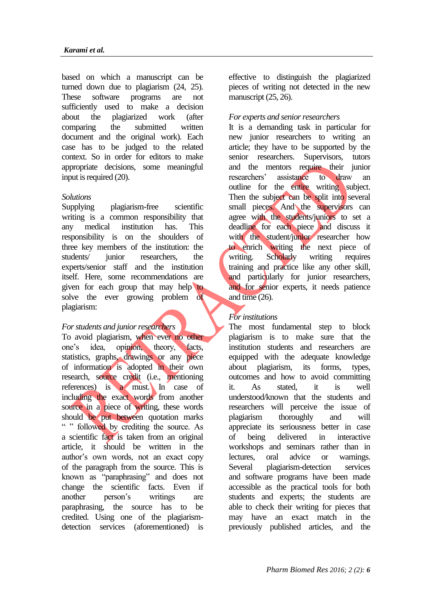based on which a manuscript can be turned down due to plagiarism (24, 25). These software programs are not sufficiently used to make a decision about the plagiarized work (after comparing the submitted written document and the original work). Each case has to be judged to the related context. So in order for editors to make appropriate decisions, some meaningful input is required (20).

#### *Solutions*

Supplying plagiarism-free scientific writing is a common responsibility that any medical institution has. This responsibility is on the shoulders of three key members of the institution: the students/ junior researchers, the experts/senior staff and the institution itself. Here, some recommendations are given for each group that may help to solve the ever growing problem of plagiarism:

#### *For students and junior researchers*

To avoid plagiarism, when ever no other one's idea, opinion, theory, facts, statistics, graphs, drawings or any piece of information is adopted in their own research, source credit (i.e., mentioning references) is a must. In case of including the exact words from another source in a piece of writing, these words should be put between quotation marks " " followed by crediting the source. As a scientific fact is taken from an original article, it should be written in the author's own words, not an exact copy of the paragraph from the source. This is known as "paraphrasing" and does not change the scientific facts. Even if another person's writings are paraphrasing, the source has to be credited. Using one of the plagiarismdetection services (aforementioned) is

effective to distinguish the plagiarized pieces of writing not detected in the new manuscript  $(25, 26)$ .

## *For experts and senior researchers*

It is a demanding task in particular for new junior researchers to writing an article; they have to be supported by the senior researchers. Supervisors, tutors and the mentors require their junior researchers' assistance to draw an outline for the entire writing subject. Then the subject can be split into several small pieces. And the supervisors can agree with the students/juniors to set a deadline for each piece and discuss it with the student/junior researcher how to enrich writing the next piece of writing. Scholarly writing requires training and practice like any other skill, and particularly for junior researchers, and for senior experts, it needs patience and time (26).

## *For institutions*

The most fundamental step to block plagiarism is to make sure that the institution students and researchers are equipped with the adequate knowledge about plagiarism, its forms, types, outcomes and how to avoid committing it. As stated, it is well understood/known that the students and researchers will perceive the issue of plagiarism thoroughly and will appreciate its seriousness better in case of being delivered in interactive workshops and seminars rather than in lectures, oral advice or warnings. Several plagiarism-detection services and software programs have been made accessible as the practical tools for both students and experts; the students are able to check their writing for pieces that may have an exact match in the previously published articles, and the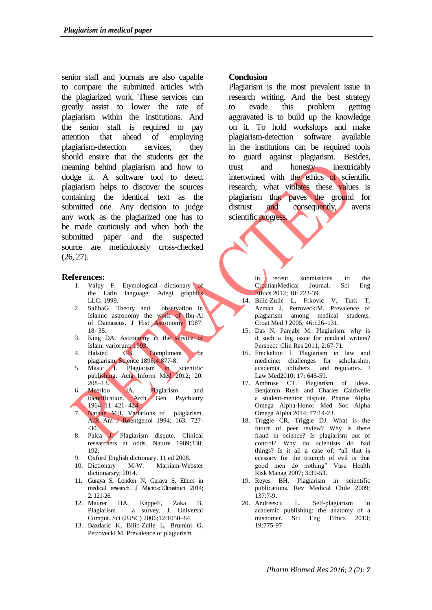senior staff and journals are also capable to compare the submitted articles with the plagiarized work. These services can greatly assist to lower the rate of plagiarism within the institutions. And the senior staff is required to pay attention that ahead of employing plagiarism-detection services, they should ensure that the students get the meaning behind plagiarism and how to dodge it. A software tool to detect plagiarism helps to discover the sources containing the identical text as the submitted one. Any decision to judge any work as the plagiarized one has to be made cautiously and when both the submitted paper and the suspected source are meticulously cross-checked (26, 27).

#### **References:**

- 1. Valpy F. Etymological dictionary of the Latin language: Adegi graphics LLC; 1999.
- 2. SalibaG. Theory and observation in Islamic astronomy the work of Ibn-Al of Damascus. J Hist Astronomy 1987: 18- 35.
- 3. King DA. Astronomy in the service of Islam: variorum; 1993.<br>4. Halsted GB.
- GB. Compliment plagiarism. Science 1896;4:877-8.
- 5. Masic I. Plagiarism in scientific publishing. Acta Inform Med 2012; 20: 208–13.
- 6. Meerloo JA. Plagiarism and identification. Arch Gen Psychiatry 1964; 11: 421- 424.
- 7. Nathan MH. Variations of plagiarism. AJR Am J Roentgenol 1994; 163: 727-  $-30.$
- 8. Palca J. Plagiarism dispute. Clinical researchers at odds. Nature 1989;338: 192.
- 9. Oxford English dictionary. 11 ed 2008.
- 10. Dictionary M-W. Marriam-Webster dictionarsry; 2014.
- 11. Guraya S, London N, Guraya S. Ethics in medical research. J MicroscUltrastruct 2014; 2: 121-26.
- 12. Maurer HA, KappeF, Zaka B, Plagiarism – a survey, J. Universal Comput. Sci (JUSC) 2006;12:1050–84.
- 13. Bazdaric K, Bilic-Zulle L, Brumini G, Petrovecki M. Prevalence of plagiarism

#### **Conclusion**

Plagiarism is the most prevalent issue in research writing. And the best strategy to evade this problem getting aggravated is to build up the knowledge on it. To hold workshops and make plagiarism-detection software available in the institutions can be required tools to guard against plagiarism. Besides, trust and honesty inextricably intertwined with the ethics of scientific research; what violates these values is plagiarism that paves the ground for distrust and consequently, averts scientific progress.

> in recent submissions to the CroatianMedical Journal. Sci Eng Ethics 2012; 18: 223-39.

- 14. Bilic-Zulle L, Frkovic V, Turk T, Azman J, PetroveckiM. Prevalence of plagiarism among medical students. Croat Med J 2005; 46:126–131.
- 15. Das N, Panjabi M. Plagiarism: why is it such a big issue for medical writers? Perspect Clin Res 2011; 2:67-71.
- 16. Freckelton I. Plagiarism in law and medicine: challenges for scholarship, academia, ublishers and regulators. J Law Med2010; 17: 645-59.
- 17. Ambrose CT. Plagiarism of ideas. Benjamin Rush and Charles Caldwelle a student-mentor dispute. Pharos Alpha Omega Alpha-Honor Med Soc Alpha Omega Alpha 2014; 77:14-23.
- 18. Triggle CR, Triggle DJ. What is the future of peer review? Why is there fraud in science? Is plagiarism out of control? Why do scientists do bad things? Is it all a case of: "all that is ecessary for the triumph of evil is that good men do nothing" Vasc Health Risk Manag 2007; 3:39-53.
- 19. Reyes BH. Plagiarism in scientific publications. Rev Medical Chile 2009; 137:7-9.
- 20. Andreescu L. Self-plagiarism in academic publishing: the anatomy of a misnomer. Sci Eng Ethics 2013; 19:775-97